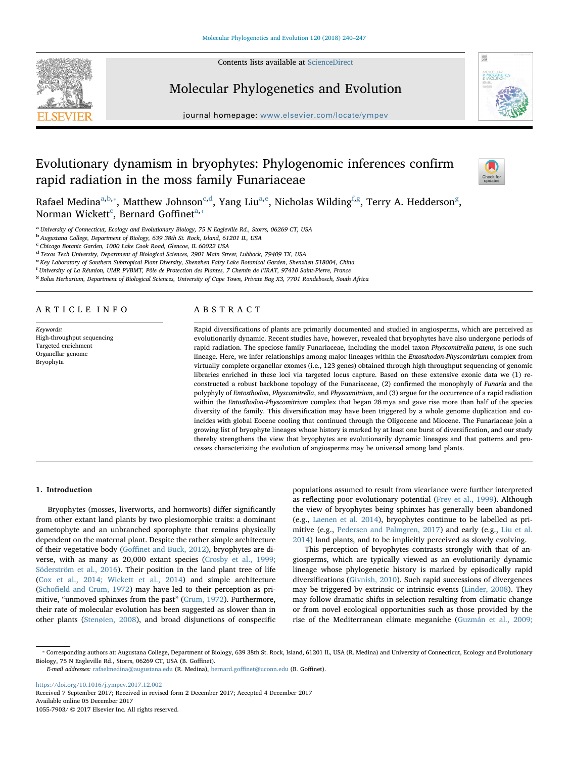Contents lists available at [ScienceDirect](http://www.sciencedirect.com/science/journal/10557903)



Molecular Phylogenetics and Evolution



journal homepage: [www.elsevier.com/locate/ympev](https://www.elsevier.com/locate/ympev)

# Evolutionary dynamism in bryophytes: Phylogenomic inferences confirm rapid radiation in the moss family Funariaceae



R[a](#page-0-0)[f](#page-0-6)ael Medina $^{\rm a,b, *}$  $^{\rm a,b, *}$  $^{\rm a,b, *}$ , Matthew Johnson $^{\rm c,d}$  $^{\rm c,d}$  $^{\rm c,d}$  $^{\rm c,d}$ , Yan[g](#page-0-7) Liu $^{\rm a,e}$  $^{\rm a,e}$  $^{\rm a,e}$ , Nicholas Wilding $^{\rm f,g}$  $^{\rm f,g}$  $^{\rm f,g}$ , Terry A. Hedderson $^{\rm g}$ , Norman Wi[c](#page-0-3)kett $\mathrm{c}$ , Bernard Goffinet $\mathrm{^{a,*}}$  $\mathrm{^{a,*}}$  $\mathrm{^{a,*}}$ 

<span id="page-0-0"></span><sup>a</sup> University of Connecticut, Ecology and Evolutionary Biology, 75 N Eagleville Rd., Storrs, 06269 CT, USA

<span id="page-0-1"></span><sup>b</sup> Augustana College, Department of Biology, 639 38th St. Rock, Island, 61201 IL, USA

<span id="page-0-3"></span>c Chicago Botanic Garden, 1000 Lake Cook Road, Glencoe, IL 60022 USA

<span id="page-0-4"></span><sup>d</sup> Texas Tech University, Department of Biological Sciences, 2901 Main Street, Lubbock, 79409 TX, USA

<span id="page-0-5"></span>e Key Laboratory of Southern Subtropical Plant Diversity, Shenzhen Fairy Lake Botanical Garden, Shenzhen 518004, China

<span id="page-0-6"></span><sup>f</sup> University of La Réunion, UMR PVBMT, Pôle de Protection des Plantes, 7 Chemin de l'IRAT, 97410 Saint-Pierre, France

<span id="page-0-7"></span><sup>8</sup> Bolus Herbarium, Department of Biological Sciences, University of Cape Town, Private Bag X3, 7701 Rondebosch, South Africa

# ARTICLE INFO

Keywords: High-throughput sequencing Targeted enrichment Organellar genome Bryophyta

## ABSTRACT

Rapid diversifications of plants are primarily documented and studied in angiosperms, which are perceived as evolutionarily dynamic. Recent studies have, however, revealed that bryophytes have also undergone periods of rapid radiation. The speciose family Funariaceae, including the model taxon Physcomitrella patens, is one such lineage. Here, we infer relationships among major lineages within the Entosthodon-Physcomitrium complex from virtually complete organellar exomes (i.e., 123 genes) obtained through high throughput sequencing of genomic libraries enriched in these loci via targeted locus capture. Based on these extensive exonic data we (1) reconstructed a robust backbone topology of the Funariaceae, (2) confirmed the monophyly of Funaria and the polyphyly of Entosthodon, Physcomitrella, and Physcomitrium, and (3) argue for the occurrence of a rapid radiation within the Entosthodon-Physcomitrium complex that began 28 mya and gave rise more than half of the species diversity of the family. This diversification may have been triggered by a whole genome duplication and coincides with global Eocene cooling that continued through the Oligocene and Miocene. The Funariaceae join a growing list of bryophyte lineages whose history is marked by at least one burst of diversification, and our study thereby strengthens the view that bryophytes are evolutionarily dynamic lineages and that patterns and processes characterizing the evolution of angiosperms may be universal among land plants.

### 1. Introduction

Bryophytes (mosses, liverworts, and hornworts) differ significantly from other extant land plants by two plesiomorphic traits: a dominant gametophyte and an unbranched sporophyte that remains physically dependent on the maternal plant. Despite the rather simple architecture of their vegetative body (Goffi[net and Buck, 2012\)](#page-6-0), bryophytes are diverse, with as many as 20,000 extant species ([Crosby et al., 1999;](#page-6-1) [Söderström et al., 2016](#page-6-1)). Their position in the land plant tree of life ([Cox et al., 2014; Wickett et al., 2014](#page-6-2)) and simple architecture (Schofi[eld and Crum, 1972\)](#page-7-0) may have led to their perception as primitive, "unmoved sphinxes from the past" [\(Crum, 1972](#page-6-3)). Furthermore, their rate of molecular evolution has been suggested as slower than in other plants [\(Stenøien, 2008\)](#page-7-1), and broad disjunctions of conspecific populations assumed to result from vicariance were further interpreted as reflecting poor evolutionary potential [\(Frey et al., 1999\)](#page-6-4). Although the view of bryophytes being sphinxes has generally been abandoned (e.g., [Laenen et al. 2014](#page-6-5)), bryophytes continue to be labelled as primitive (e.g., [Pedersen and Palmgren, 2017\)](#page-7-2) and early (e.g., [Liu et al.](#page-7-3) [2014\)](#page-7-3) land plants, and to be implicitly perceived as slowly evolving.

This perception of bryophytes contrasts strongly with that of angiosperms, which are typically viewed as an evolutionarily dynamic lineage whose phylogenetic history is marked by episodically rapid diversifications ([Givnish, 2010\)](#page-6-6). Such rapid successions of divergences may be triggered by extrinsic or intrinsic events [\(Linder, 2008](#page-6-7)). They may follow dramatic shifts in selection resulting from climatic change or from novel ecological opportunities such as those provided by the rise of the Mediterranean climate meganiche [\(Guzmán et al., 2009;](#page-6-8)

<https://doi.org/10.1016/j.ympev.2017.12.002>

Received 7 September 2017; Received in revised form 2 December 2017; Accepted 4 December 2017 Available online 05 December 2017 1055-7903/ © 2017 Elsevier Inc. All rights reserved.

<span id="page-0-2"></span><sup>⁎</sup> Corresponding authors at: Augustana College, Department of Biology, 639 38th St. Rock, Island, 61201 IL, USA (R. Medina) and University of Connecticut, Ecology and Evolutionary Biology, 75 N Eagleville Rd., Storrs, 06269 CT, USA (B. Goffinet).

E-mail addresses: [rafaelmedina@augustana.edu](mailto:rafaelmedina@augustana.edu) (R. Medina), bernard.goffi[net@uconn.edu](mailto:bernard.goffinet@uconn.edu) (B. Goffinet).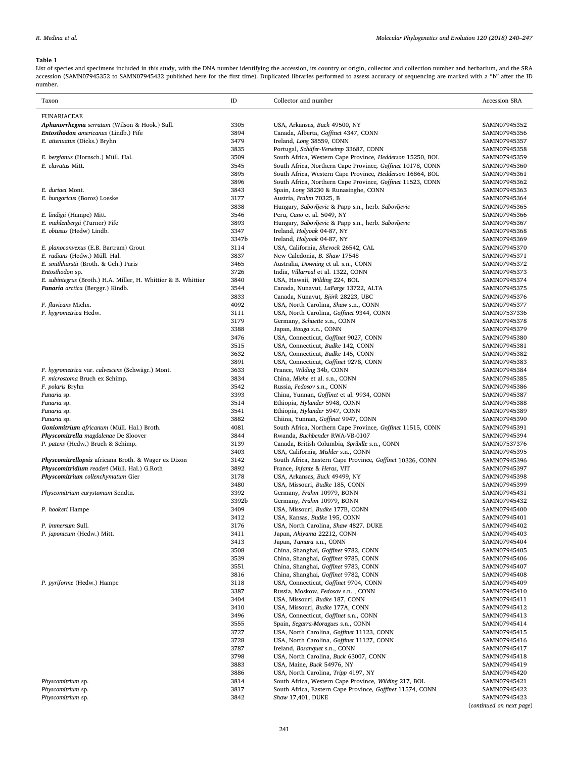## <span id="page-1-0"></span>Table 1

List of species and specimens included in this study, with the DNA number identifying the accession, its country or origin, collector and collection number and herbarium, and the SRA accession (SAMN07945352 to SAMN07945432 published here for the first time). Duplicated libraries performed to assess accuracy of sequencing are marked with a "b" after the ID number.

| Taxon                                                          | ID           | Collector and number                                                                                                    | <b>Accession SRA</b>         |
|----------------------------------------------------------------|--------------|-------------------------------------------------------------------------------------------------------------------------|------------------------------|
| <b>FUNARIACEAE</b>                                             |              |                                                                                                                         |                              |
| Aphanorrhegma serratum (Wilson & Hook.) Sull.                  | 3305         | USA, Arkansas, Buck 49500, NY                                                                                           | SAMN07945352                 |
| <b>Entosthodon</b> americanus (Lindb.) Fife                    | 3894         | Canada, Alberta, Goffinet 4347, CONN                                                                                    | SAMN07945356                 |
| E. attenuatus (Dicks.) Bryhn                                   | 3479         | Ireland, Long 38559, CONN                                                                                               | SAMN07945357                 |
|                                                                | 3835         | Portugal, Schäfer-Verwimp 33687, CONN                                                                                   | SAMN07945358                 |
| E. bergianus (Hornsch.) Müll. Hal.                             | 3509         | South Africa, Western Cape Province, Hedderson 15250, BOL                                                               | SAMN07945359                 |
| E. clavatus Mitt.                                              | 3545<br>3895 | South Africa, Northern Cape Province, Goffinet 10178, CONN                                                              | SAMN07945360                 |
|                                                                | 3896         | South Africa, Western Cape Province, Hedderson 16864, BOL<br>South Africa, Northern Cape Province, Goffinet 11523, CONN | SAMN07945361<br>SAMN07945362 |
| E. duriaei Mont.                                               | 3843         | Spain, Long 38230 & Runasinghe, CONN                                                                                    | SAMN07945363                 |
| E. hungaricus (Boros) Loeske                                   | 3177         | Austria, Frahm 70325, B                                                                                                 | SAMN07945364                 |
|                                                                | 3838         | Hungary, Sabovljevic & Papp s.n., herb. Sabovljevic                                                                     | SAMN07945365                 |
| E. lindigii (Hampe) Mitt.                                      | 3546         | Peru, Cano et al. 5049, NY                                                                                              | SAMN07945366                 |
| E. muhlenbergii (Turner) Fife                                  | 3893         | Hungary, Sabovljevic & Papp s.n., herb. Sabovljevic                                                                     | SAMN07945367                 |
| E. obtusus (Hedw) Lindb.                                       | 3347         | Ireland, Holyoak 04-87, NY                                                                                              | SAMN07945368                 |
|                                                                | 3347b        | Ireland, Holyoak 04-87, NY                                                                                              | SAMN07945369                 |
| E. planoconvexus (E.B. Bartram) Grout                          | 3114         | USA, California, Shevock 26542, CAL                                                                                     | SAMN07945370                 |
| E. radians (Hedw.) Müll. Hal.                                  | 3837         | New Caledonia, B. Shaw 17548                                                                                            | SAMN07945371                 |
| E. smithhurstii (Broth. & Geh.) Paris<br>Entosthodon sp.       | 3465<br>3726 | Australia, Downing et al. s.n., CONN<br>India, Villarreal et al. 1322, CONN                                             | SAMN07945372<br>SAMN07945373 |
| E. subintegrus (Broth.) H.A. Miller, H. Whittier & B. Whittier | 3840         | USA, Hawaii, Wilding 224, BOL                                                                                           | SAMN07945374                 |
| Funaria arctica (Berggr.) Kindb.                               | 3544         | Canada, Nunavut, LaFarge 13722, ALTA                                                                                    | SAMN07945375                 |
|                                                                | 3833         | Canada, Nunavut, Björk 28223, UBC                                                                                       | SAMN07945376                 |
| F. flavicans Michx.                                            | 4092         | USA, North Carolina, Shaw s.n., CONN                                                                                    | SAMN07945377                 |
| F. hygrometrica Hedw.                                          | 3111         | USA, North Carolina, Goffinet 9344, CONN                                                                                | SAMN07537336                 |
|                                                                | 3179         | Germany, Schuette s.n., CONN                                                                                            | SAMN07945378                 |
|                                                                | 3388         | Japan, Itouga s.n., CONN                                                                                                | SAMN07945379                 |
|                                                                | 3476         | USA, Connecticut, Goffinet 9027, CONN                                                                                   | SAMN07945380                 |
|                                                                | 3515         | USA, Connecticut, Budke 142, CONN                                                                                       | SAMN07945381                 |
|                                                                | 3632         | USA, Connecticut, Budke 145, CONN                                                                                       | SAMN07945382                 |
|                                                                | 3891         | USA, Connecticut, Goffinet 9278, CONN                                                                                   | SAMN07945383                 |
| F. hygrometrica var. calvescens (Schwägr.) Mont.               | 3633<br>3834 | France, Wilding 34b, CONN                                                                                               | SAMN07945384                 |
| F. microstoma Bruch ex Schimp.<br>F. polaris Bryhn             | 3542         | China, Miehe et al. s.n., CONN<br>Russia, Fedosov s.n., CONN                                                            | SAMN07945385<br>SAMN07945386 |
| Funaria sp.                                                    | 3393         | China, Yunnan, Goffinet et al. 9934, CONN                                                                               | SAMN07945387                 |
| Funaria sp.                                                    | 3514         | Ethiopia, Hylander 5948, CONN                                                                                           | SAMN07945388                 |
| Funaria sp.                                                    | 3541         | Ethiopia, Hylander 5947, CONN                                                                                           | SAMN07945389                 |
| Funaria sp.                                                    | 3882         | Chiina, Yunnan, Goffinet 9947, CONN                                                                                     | SAMN07945390                 |
| Goniomitrium africanum (Müll. Hal.) Broth.                     | 4081         | South Africa, Northern Cape Province, Goffinet 11515, CONN                                                              | SAMN07945391                 |
| Physcomitrella magdalenae De Sloover                           | 3844         | Rwanda, Buchbender RWA-VB-0107                                                                                          | SAMN07945394                 |
| P. patens (Hedw.) Bruch & Schimp.                              | 3139         | Canada, British Columbia, Spribille s.n., CONN                                                                          | SAMN07537376                 |
|                                                                | 3403         | USA, California, Mishler s.n., CONN                                                                                     | SAMN07945395                 |
| <b>Physcomitrellopsis</b> africana Broth. & Wager ex Dixon     | 3142         | South Africa, Eastern Cape Province, Goffinet 10326, CONN                                                               | SAMN07945396                 |
| Physcomitridium readeri (Müll. Hal.) G.Roth                    | 3892         | France, Infante & Heras, VIT                                                                                            | SAMN07945397                 |
| Physcomitrium collenchymatum Gier                              | 3178<br>3480 | USA, Arkansas, Buck 49499, NY<br>USA, Missouri, Budke 185, CONN                                                         | SAMN07945398<br>SAMN07945399 |
| Physcomitrium eurystomum Sendtn.                               | 3392         | Germany, Frahm 10979, BONN                                                                                              | SAMN07945431                 |
|                                                                | 3392b        | Germany, Frahm 10979, BONN                                                                                              | SAMN07945432                 |
| P. hookeri Hampe                                               | 3409         | USA, Missouri, Budke 177B, CONN                                                                                         | SAMN07945400                 |
|                                                                | 3412         | USA, Kansas, Budke 195, CONN                                                                                            | SAMN07945401                 |
| P. immersum Sull.                                              | 3176         | USA, North Carolina, Shaw 4827. DUKE                                                                                    | SAMN07945402                 |
| P. japonicum (Hedw.) Mitt.                                     | 3411         | Japan, Akiyama 22212, CONN                                                                                              | SAMN07945403                 |
|                                                                | 3413         | Japan, Tamura s.n., CONN                                                                                                | SAMN07945404                 |
|                                                                | 3508         | China, Shanghai, Goffinet 9782, CONN                                                                                    | SAMN07945405                 |
|                                                                | 3539         | China, Shanghai, Goffinet 9785, CONN                                                                                    | SAMN07945406                 |
|                                                                | 3551<br>3816 | China, Shanghai, Goffinet 9783, CONN                                                                                    | SAMN07945407<br>SAMN07945408 |
| P. pyriforme (Hedw.) Hampe                                     | 3118         | China, Shanghai, Goffinet 9782, CONN<br>USA, Connecticut, Goffinet 9704, CONN                                           | SAMN07945409                 |
|                                                                | 3387         | Russia, Moskow, Fedosov s.n., CONN                                                                                      | SAMN07945410                 |
|                                                                | 3404         | USA, Missouri, Budke 187, CONN                                                                                          | SAMN07945411                 |
|                                                                | 3410         | USA, Missouri, Budke 177A, CONN                                                                                         | SAMN07945412                 |
|                                                                | 3496         | USA, Connecticut, Goffinet s.n., CONN                                                                                   | SAMN07945413                 |
|                                                                | 3555         | Spain, Segarra-Moragues s.n., CONN                                                                                      | SAMN07945414                 |
|                                                                | 3727         | USA, North Carolina, Goffinet 11123, CONN                                                                               | SAMN07945415                 |
|                                                                | 3728         | USA, North Carolina, Goffinet 11127, CONN                                                                               | SAMN07945416                 |
|                                                                | 3787         | Ireland, <i>Bosanquet</i> s.n., CONN                                                                                    | SAMN07945417                 |
|                                                                | 3798         | USA, North Carolina, Buck 63007, CONN                                                                                   | SAMN07945418                 |
|                                                                | 3883         | USA, Maine, Buck 54976, NY                                                                                              | SAMN07945419                 |
|                                                                | 3886         | USA, North Carolina, Tripp 4197, NY                                                                                     | SAMN07945420                 |
| Physcomitrium sp.<br>Physcomitrium sp.                         | 3814<br>3817 | South Africa, Western Cape Province, Wilding 217, BOL<br>South Africa, Eastern Cape Province, Goffinet 11574, CONN      | SAMN07945421<br>SAMN07945422 |
| Physcomitrium sp.                                              | 3842         | Shaw 17,401, DUKE                                                                                                       | SAMN07945423                 |
|                                                                |              |                                                                                                                         | (continued on next page)     |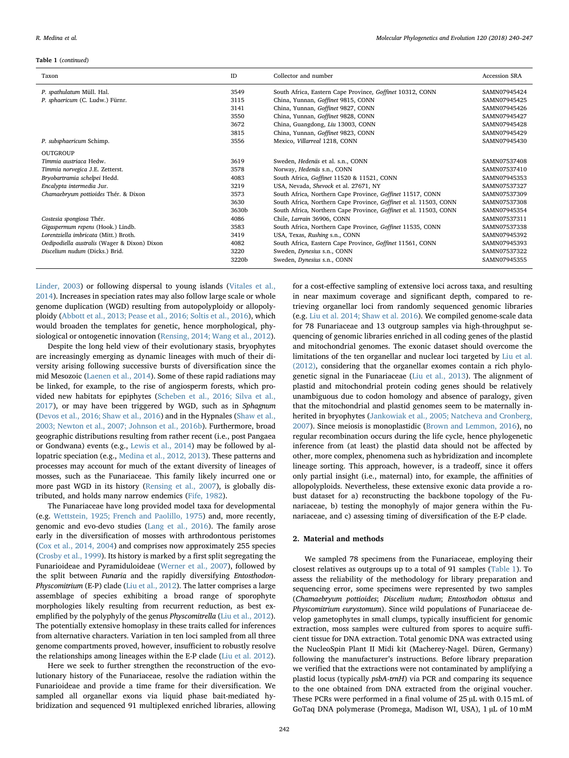#### Table 1 (continued)

| Taxon                                                                                                                                                                                    | <b>ID</b>                                             | Collector and number                                                                                                                                                                                                                                                                                                                                           | <b>Accession SRA</b>                                                                                         |
|------------------------------------------------------------------------------------------------------------------------------------------------------------------------------------------|-------------------------------------------------------|----------------------------------------------------------------------------------------------------------------------------------------------------------------------------------------------------------------------------------------------------------------------------------------------------------------------------------------------------------------|--------------------------------------------------------------------------------------------------------------|
| P. spathulatum Müll. Hal.<br>P. sphaericum (C. Ludw.) Fürnr.                                                                                                                             | 3549<br>3115<br>3141<br>3550<br>3672<br>3815          | South Africa, Eastern Cape Province, Goffinet 10312, CONN<br>China, Yunnan, Goffinet 9815, CONN<br>China, Yunnan, Goffinet 9827, CONN<br>China, Yunnan, Goffinet 9828, CONN<br>China, Guangdong, Liu 13003, CONN<br>China, Yunnan, Goffinet 9823, CONN                                                                                                         | SAMN07945424<br>SAMN07945425<br>SAMN07945426<br>SAMN07945427<br>SAMN07945428<br>SAMN07945429                 |
| P. subsphaericum Schimp.                                                                                                                                                                 | 3556                                                  | Mexico, Villarreal 1218, CONN                                                                                                                                                                                                                                                                                                                                  | SAMN07945430                                                                                                 |
| OUTGROUP<br>Timmia austriaca Hedw.<br>Timmia norvegica J.E. Zetterst.<br>Bryobartramia schelpei Hedd.<br>Encalypta intermedia Jur.<br>Chamaebryum pottioides Thér. & Dixon               | 3619<br>3578<br>4083<br>3219<br>3573<br>3630<br>3630b | Sweden, Hedenäs et al. s.n., CONN<br>Norway, Hedenäs s.n., CONN<br>South Africa, Goffinet 11520 & 11521, CONN<br>USA, Nevada, Shevock et al. 27671, NY<br>South Africa, Northern Cape Province, Goffinet 11517, CONN<br>South Africa, Northern Cape Province, Goffinet et al. 11503, CONN<br>South Africa, Northern Cape Province, Goffinet et al. 11503, CONN | SAMN07537408<br>SAMN07537410<br>SAMN07945353<br>SAMN07537327<br>SAMN07537309<br>SAMN07537308<br>SAMN07945354 |
| Costesia spongiosa Thér.<br>Gigaspermum repens (Hook.) Lindb.<br>Lorentziella imbricata (Mitt.) Broth.<br>Oedipodiella australis (Wager & Dixon) Dixon<br>Discelium nudum (Dicks.) Brid. | 4086<br>3583<br>3419<br>4082<br>3220<br>3220b         | Chile, Larrain 36906, CONN<br>South Africa, Northern Cape Province, Goffinet 11535, CONN<br>USA, Texas, Rushing s.n., CONN<br>South Africa, Eastern Cape Province, Goffinet 11561, CONN<br>Sweden, Dynesius s.n., CONN<br>Sweden, Dynesius s.n., CONN                                                                                                          | SAMN07537311<br>SAMN07537338<br>SAMN07945392<br>SAMN07945393<br>SAMN07537322<br>SAMN07945355                 |

[Linder, 2003](#page-6-8)) or following dispersal to young islands [\(Vitales et al.,](#page-7-4) [2014\)](#page-7-4). Increases in speciation rates may also follow large scale or whole genome duplication (WGD) resulting from autopolyploidy or allopolyploidy ([Abbott et al., 2013; Pease et al., 2016; Soltis et al., 2016\)](#page-6-9), which would broaden the templates for genetic, hence morphological, physiological or ontogenetic innovation [\(Rensing, 2014; Wang et al., 2012](#page-7-5)).

Despite the long held view of their evolutionary stasis, bryophytes are increasingly emerging as dynamic lineages with much of their diversity arising following successive bursts of diversification since the mid Mesozoic ([Laenen et al., 2014\)](#page-6-5). Some of these rapid radiations may be linked, for example, to the rise of angiosperm forests, which provided new habitats for epiphytes [\(Scheben et al., 2016; Silva et al.,](#page-7-6) [2017\)](#page-7-6), or may have been triggered by WGD, such as in Sphagnum ([Devos et al., 2016; Shaw et al., 2016](#page-6-10)) and in the Hypnales [\(Shaw et al.,](#page-7-7) [2003; Newton et al., 2007; Johnson et al., 2016b\)](#page-7-7). Furthermore, broad geographic distributions resulting from rather recent (i.e., post Pangaea or Gondwana) events (e.g., [Lewis et al., 2014](#page-6-11)) may be followed by allopatric speciation (e.g., [Medina et al., 2012, 2013](#page-7-8)). These patterns and processes may account for much of the extant diversity of lineages of mosses, such as the Funariaceae. This family likely incurred one or more past WGD in its history ([Rensing et al., 2007](#page-7-9)), is globally distributed, and holds many narrow endemics ([Fife, 1982](#page-6-12)).

The Funariaceae have long provided model taxa for developmental (e.g. [Wettstein, 1925; French and Paolillo, 1975](#page-7-10)) and, more recently, genomic and evo-devo studies ([Lang et al., 2016](#page-6-13)). The family arose early in the diversification of mosses with arthrodontous peristomes ([Cox et al., 2014, 2004](#page-6-2)) and comprises now approximately 255 species ([Crosby et al., 1999\)](#page-6-1). Its history is marked by a first split segregating the Funarioideae and Pyramiduloideae [\(Werner et al., 2007](#page-7-11)), followed by the split between Funaria and the rapidly diversifying Entosthodon-Physcomitrium (E-P) clade [\(Liu et al., 2012\)](#page-7-12). The latter comprises a large assemblage of species exhibiting a broad range of sporophyte morphologies likely resulting from recurrent reduction, as best exemplified by the polyphyly of the genus Physcomitrella [\(Liu et al., 2012](#page-7-12)). The potentially extensive homoplasy in these traits called for inferences from alternative characters. Variation in ten loci sampled from all three genome compartments proved, however, insufficient to robustly resolve the relationships among lineages within the E-P clade [\(Liu et al. 2012](#page-7-12)).

Here we seek to further strengthen the reconstruction of the evolutionary history of the Funariaceae, resolve the radiation within the Funarioideae and provide a time frame for their diversification. We sampled all organellar exons via liquid phase bait-mediated hybridization and sequenced 91 multiplexed enriched libraries, allowing

for a cost-effective sampling of extensive loci across taxa, and resulting in near maximum coverage and significant depth, compared to retrieving organellar loci from randomly sequenced genomic libraries (e.g. [Liu et al. 2014; Shaw et al. 2016\)](#page-7-3). We compiled genome-scale data for 78 Funariaceae and 13 outgroup samples via high-throughput sequencing of genomic libraries enriched in all coding genes of the plastid and mitochondrial genomes. The exonic dataset should overcome the limitations of the ten organellar and nuclear loci targeted by [Liu et al.](#page-7-12) [\(2012\),](#page-7-12) considering that the organellar exomes contain a rich phylogenetic signal in the Funariaceae ([Liu et al., 2013\)](#page-7-13). The alignment of plastid and mitochondrial protein coding genes should be relatively unambiguous due to codon homology and absence of paralogy, given that the mitochondrial and plastid genomes seem to be maternally inherited in bryophytes ([Jankowiak et al., 2005; Natcheva and Cronberg,](#page-6-14) [2007\)](#page-6-14). Since meiosis is monoplastidic [\(Brown and Lemmon, 2016\)](#page-6-15), no regular recombination occurs during the life cycle, hence phylogenetic inference from (at least) the plastid data should not be affected by other, more complex, phenomena such as hybridization and incomplete lineage sorting. This approach, however, is a tradeoff, since it offers only partial insight (i.e., maternal) into, for example, the affinities of allopolyploids. Nevertheless, these extensive exonic data provide a robust dataset for a) reconstructing the backbone topology of the Funariaceae, b) testing the monophyly of major genera within the Funariaceae, and c) assessing timing of diversification of the E-P clade.

#### 2. Material and methods

We sampled 78 specimens from the Funariaceae, employing their closest relatives as outgroups up to a total of 91 samples [\(Table 1\)](#page-1-0). To assess the reliability of the methodology for library preparation and sequencing error, some specimens were represented by two samples (Chamaebryum pottioides; Discelium nudum; Entosthodon obtusus and Physcomitrium eurystomum). Since wild populations of Funariaceae develop gametophytes in small clumps, typically insufficient for genomic extraction, moss samples were cultured from spores to acquire sufficient tissue for DNA extraction. Total genomic DNA was extracted using the NucleoSpin Plant II Midi kit (Macherey-Nagel. Düren, Germany) following the manufacturer's instructions. Before library preparation we verified that the extractions were not contaminated by amplifying a plastid locus (typically psbA-trnH) via PCR and comparing its sequence to the one obtained from DNA extracted from the original voucher. These PCRs were performed in a final volume of 25 µL with 0.15 mL of GoTaq DNA polymerase (Promega, Madison WI, USA), 1 µL of 10 mM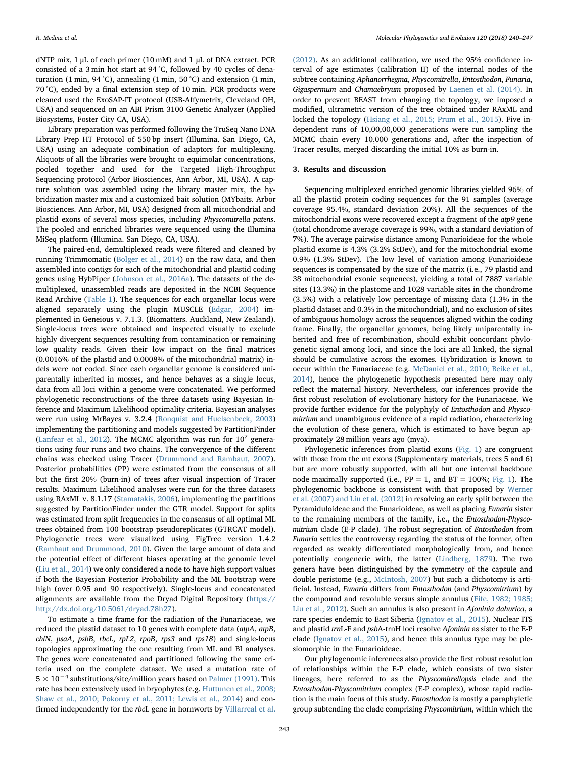dNTP mix,  $1 \mu$ L of each primer ( $10 \text{ mM}$ ) and  $1 \mu$ L of DNA extract. PCR consisted of a 3 min hot start at 94 °C, followed by 40 cycles of denaturation (1 min, 94 °C), annealing (1 min, 50 °C) and extension (1 min, 70 °C), ended by a final extension step of 10 min. PCR products were cleaned used the ExoSAP-IT protocol (USB-Affymetrix, Cleveland OH, USA) and sequenced on an ABI Prism 3100 Genetic Analyzer (Applied Biosystems, Foster City CA, USA).

Library preparation was performed following the TruSeq Nano DNA Library Prep HT Protocol of 550 bp insert (Illumina. San Diego, CA, USA) using an adequate combination of adaptors for multiplexing. Aliquots of all the libraries were brought to equimolar concentrations, pooled together and used for the Targeted High-Throughput Sequencing protocol (Arbor Biosciences, Ann Arbor, MI, USA). A capture solution was assembled using the library master mix, the hybridization master mix and a customized bait solution (MYbaits. Arbor Biosciences. Ann Arbor, MI, USA) designed from all mitochondrial and plastid exons of several moss species, including Physcomitrella patens. The pooled and enriched libraries were sequenced using the Illumina MiSeq platform (Illumina. San Diego, CA, USA).

The paired-end, demultiplexed reads were filtered and cleaned by running Trimmomatic ([Bolger et al., 2014\)](#page-6-16) on the raw data, and then assembled into contigs for each of the mitochondrial and plastid coding genes using HybPiper ([Johnson et al., 2016a](#page-6-17)). The datasets of the demultiplexed, unassembled reads are deposited in the NCBI Sequence Read Archive [\(Table 1\)](#page-1-0). The sequences for each organellar locus were aligned separately using the plugin MUSCLE [\(Edgar, 2004\)](#page-6-18) implemented in Geneious v. 7.1.3. (Biomatters. Auckland, New Zealand). Single-locus trees were obtained and inspected visually to exclude highly divergent sequences resulting from contamination or remaining low quality reads. Given their low impact on the final matrices (0.0016% of the plastid and 0.0008% of the mitochondrial matrix) indels were not coded. Since each organellar genome is considered uniparentally inherited in mosses, and hence behaves as a single locus, data from all loci within a genome were concatenated. We performed phylogenetic reconstructions of the three datasets using Bayesian Inference and Maximum Likelihood optimality criteria. Bayesian analyses were run using MrBayes v. 3.2.4 [\(Ronquist and Huelsenbeck, 2003\)](#page-7-14) implementing the partitioning and models suggested by PartitionFinder ([Lanfear et al., 2012](#page-6-19)). The MCMC algorithm was run for  $10^7$  generations using four runs and two chains. The convergence of the different chains was checked using Tracer [\(Drummond and Rambaut, 2007](#page-6-20)). Posterior probabilities (PP) were estimated from the consensus of all but the first 20% (burn-in) of trees after visual inspection of Tracer results. Maximum Likelihood analyses were run for the three datasets using RAxML v. 8.1.17 [\(Stamatakis, 2006](#page-7-15)), implementing the partitions suggested by PartitionFinder under the GTR model. Support for splits was estimated from split frequencies in the consensus of all optimal ML trees obtained from 100 bootstrap pseudoreplicates (GTRCAT model). Phylogenetic trees were visualized using FigTree version 1.4.2 ([Rambaut and Drummond, 2010\)](#page-7-16). Given the large amount of data and the potential effect of different biases operating at the genomic level ([Liu et al., 2014\)](#page-7-3) we only considered a node to have high support values if both the Bayesian Posterior Probability and the ML bootstrap were high (over 0.95 and 90 respectively). Single-locus and concatenated alignments are available from the Dryad Digital Repository ([https://](https://http://dx.doi.org/10.5061/dryad.78h27) [http://dx.doi.org/10.5061/dryad.78h27](https://http://dx.doi.org/10.5061/dryad.78h27)).

To estimate a time frame for the radiation of the Funariaceae, we reduced the plastid dataset to 10 genes with complete data (atpA, atpB, chlN, psaA, psbB, rbcL, rpL2, rpoB, rps3 and rps18) and single-locus topologies approximating the one resulting from ML and BI analyses. The genes were concatenated and partitioned following the same criteria used on the complete dataset. We used a mutation rate of  $5 \times 10^{-4}$  substitutions/site/million years based on [Palmer \(1991\).](#page-7-17) This rate has been extensively used in bryophytes (e.g. [Huttunen et al., 2008;](#page-6-21) [Shaw et al., 2010; Pokorny et al., 2011; Lewis et al., 2014](#page-6-21)) and confirmed independently for the rbcL gene in hornworts by [Villarreal et al.](#page-7-18)

[\(2012\).](#page-7-18) As an additional calibration, we used the 95% confidence interval of age estimates (calibration II) of the internal nodes of the subtree containing Aphanorrhegma, Physcomitrella, Entosthodon, Funaria, Gigaspermum and Chamaebryum proposed by [Laenen et al. \(2014\).](#page-6-5) In order to prevent BEAST from changing the topology, we imposed a modified, ultrametric version of the tree obtained under RAxML and locked the topology [\(Hsiang et al., 2015; Prum et al., 2015\)](#page-6-22). Five independent runs of 10,00,00,000 generations were run sampling the MCMC chain every 10,000 generations and, after the inspection of Tracer results, merged discarding the initial 10% as burn-in.

#### 3. Results and discussion

Sequencing multiplexed enriched genomic libraries yielded 96% of all the plastid protein coding sequences for the 91 samples (average coverage 95.4%, standard deviation 20%). All the sequences of the mitochondrial exons were recovered except a fragment of the atp9 gene (total chondrome average coverage is 99%, with a standard deviation of 7%). The average pairwise distance among Funarioideae for the whole plastid exome is 4.3% (3.2% StDev), and for the mitochondrial exome 0.9% (1.3% StDev). The low level of variation among Funarioideae sequences is compensated by the size of the matrix (i.e., 79 plastid and 38 mitochondrial exonic sequences), yielding a total of 7887 variable sites (13.3%) in the plastome and 1028 variable sites in the chondrome (3.5%) with a relatively low percentage of missing data (1.3% in the plastid dataset and 0.3% in the mitochondrial), and no exclusion of sites of ambiguous homology across the sequences aligned within the coding frame. Finally, the organellar genomes, being likely uniparentally inherited and free of recombination, should exhibit concordant phylogenetic signal among loci, and since the loci are all linked, the signal should be cumulative across the exomes. Hybridization is known to occur within the Funariaceae (e.g. [McDaniel et al., 2010; Beike et al.,](#page-7-19) [2014\)](#page-7-19), hence the phylogenetic hypothesis presented here may only reflect the maternal history. Nevertheless, our inferences provide the first robust resolution of evolutionary history for the Funariaceae. We provide further evidence for the polyphyly of Entosthodon and Physcomitrium and unambiguous evidence of a rapid radiation, characterizing the evolution of these genera, which is estimated to have begun approximately 28 million years ago (mya).

Phylogenetic inferences from plastid exons [\(Fig. 1](#page-4-0)) are congruent with those from the mt exons (Supplementary materials, trees 5 and 6) but are more robustly supported, with all but one internal backbone node maximally supported (i.e.,  $PP = 1$ , and  $BT = 100\%$ ; [Fig. 1](#page-4-0)). The phylogenomic backbone is consistent with that proposed by [Werner](#page-7-11) [et al. \(2007\) and Liu et al. \(2012\)](#page-7-11) in resolving an early split between the Pyramiduloideae and the Funarioideae, as well as placing Funaria sister to the remaining members of the family, i.e., the Entosthodon-Physcomitrium clade (E-P clade). The robust segregation of Entosthodon from Funaria settles the controversy regarding the status of the former, often regarded as weakly differentiated morphologically from, and hence potentially congeneric with, the latter [\(Lindberg, 1879\)](#page-6-23). The two genera have been distinguished by the symmetry of the capsule and double peristome (e.g., [McIntosh, 2007\)](#page-7-20) but such a dichotomy is artificial. Instead, Funaria differs from Entosthodon (and Physcomitrium) by the compound and revoluble versus simple annulus [\(Fife, 1982; 1985;](#page-6-12) [Liu et al., 2012\)](#page-6-12). Such an annulus is also present in Afoninia dahurica, a rare species endemic to East Siberia [\(Ignatov et al., 2015\)](#page-6-24). Nuclear ITS and plastid trnL-F and psbA-trnH loci resolve Afoninia as sister to the E-P clade [\(Ignatov et al., 2015](#page-6-24)), and hence this annulus type may be plesiomorphic in the Funarioideae.

Our phylogenomic inferences also provide the first robust resolution of relationships within the E-P clade, which consists of two sister lineages, here referred to as the Physcomitrellopsis clade and the Entosthodon-Physcomitrium complex (E-P complex), whose rapid radiation is the main focus of this study. Entosthodon is mostly a paraphyletic group subtending the clade comprising Physcomitrium, within which the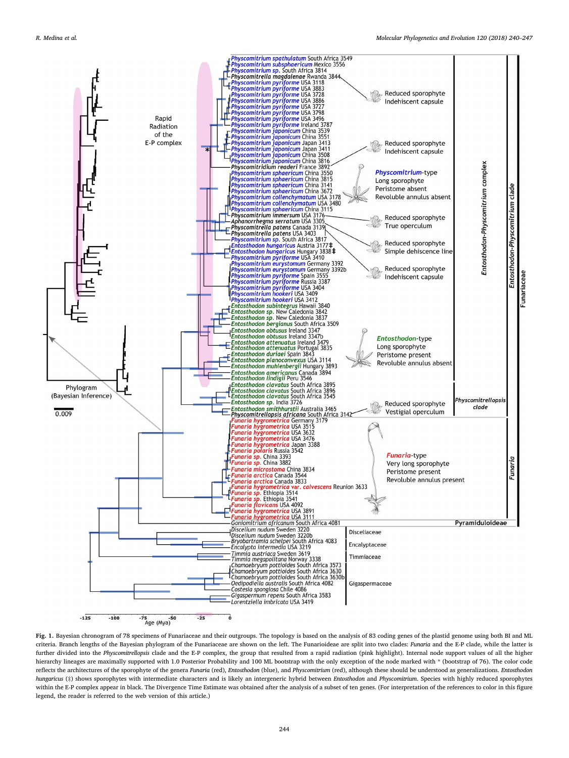<span id="page-4-0"></span>

Fig. 1. Bayesian chronogram of 78 specimens of Funariaceae and their outgroups. The topology is based on the analysis of 83 coding genes of the plastid genome using both BI and ML criteria. Branch lengths of the Bayesian phylogram of the Funariaceae are shown on the left. The Funarioideae are split into two clades: Funaria and the E-P clade, while the latter is further divided into the Physcomitrellopsis clade and the E-P complex, the group that resulted from a rapid radiation (pink highlight). Internal node support values of all the higher hierarchy lineages are maximally supported with 1.0 Posterior Probability and 100 ML bootstrap with the only exception of the node marked with \* (bootstrap of 76). The color code reflects the architectures of the sporophyte of the genera Funaria (red), Entosthodon (blue), and Physcomitrium (red), although these should be understood as generalizations. Entosthodon hungaricus (#) shows sporophytes with intermediate characters and is likely an intergeneric hybrid between Entosthodon and Physcomitrium. Species with highly reduced sporophytes within the E-P complex appear in black. The Divergence Time Estimate was obtained after the analysis of a subset of ten genes. (For interpretation of the references to color in this figure legend, the reader is referred to the web version of this article.)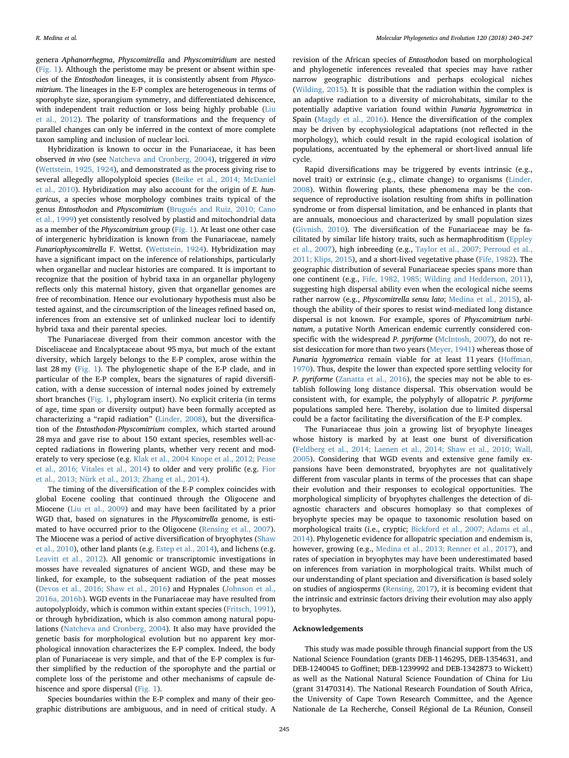genera Aphanorrhegma, Physcomitrella and Physcomitridium are nested ([Fig. 1](#page-4-0)). Although the peristome may be present or absent within species of the Entosthodon lineages, it is consistently absent from Physcomitrium. The lineages in the E-P complex are heterogeneous in terms of sporophyte size, sporangium symmetry, and differentiated dehiscence, with independent trait reduction or loss being highly probable ([Liu](#page-7-12) [et al., 2012](#page-7-12)). The polarity of transformations and the frequency of parallel changes can only be inferred in the context of more complete taxon sampling and inclusion of nuclear loci.

Hybridization is known to occur in the Funariaceae, it has been observed in vivo (see [Natcheva and Cronberg, 2004](#page-7-21)), triggered in vitro ([Wettstein, 1925, 1924\)](#page-7-10), and demonstrated as the process giving rise to several allegedly allopolyploid species [\(Beike et al., 2014; McDaniel](#page-6-25) [et al., 2010\)](#page-6-25). Hybridization may also account for the origin of E. hungaricus, a species whose morphology combines traits typical of the genus Entosthodon and Physcomitrium ([Brugués and Ruiz, 2010; Cano](#page-6-26) [et al., 1999](#page-6-26)) yet consistently resolved by plastid and mitochondrial data as a member of the Physcomitrium group [\(Fig. 1\)](#page-4-0). At least one other case of intergeneric hybridization is known from the Funariaceae, namely Funariophyscomitrella F. Wettst. ([Wettstein, 1924\)](#page-7-22). Hybridization may have a significant impact on the inference of relationships, particularly when organellar and nuclear histories are compared. It is important to recognize that the position of hybrid taxa in an organellar phylogeny reflects only this maternal history, given that organellar genomes are free of recombination. Hence our evolutionary hypothesis must also be tested against, and the circumscription of the lineages refined based on, inferences from an extensive set of unlinked nuclear loci to identify hybrid taxa and their parental species.

The Funariaceae diverged from their common ancestor with the Disceliaceae and Encalyptaceae about 95 mya, but much of the extant diversity, which largely belongs to the E-P complex, arose within the last 28 my [\(Fig. 1\)](#page-4-0). The phylogenetic shape of the E-P clade, and in particular of the E-P complex, bears the signatures of rapid diversification, with a dense succession of internal nodes joined by extremely short branches ([Fig. 1,](#page-4-0) phylogram insert). No explicit criteria (in terms of age, time span or diversity output) have been formally accepted as characterizing a "rapid radiation" ([Linder, 2008\)](#page-6-7), but the diversification of the Entosthodon-Physcomitrium complex, which started around 28 mya and gave rise to about 150 extant species, resembles well-accepted radiations in flowering plants, whether very recent and moderately to very speciose (e.g. [Klak et al., 2004](#page-6-27) [Knope et al., 2012; Pease](#page-6-28) [et al., 2016; Vitales et al., 2014](#page-6-28)) to older and very prolific (e.g. [Fior](#page-6-29) [et al., 2013; Nürk et al., 2013; Zhang et al., 2014\)](#page-6-29).

The timing of the diversification of the E-P complex coincides with global Eocene cooling that continued through the Oligocene and Miocene ([Liu et al., 2009\)](#page-7-23) and may have been facilitated by a prior WGD that, based on signatures in the Physcomitrella genome, is estimated to have occurred prior to the Oligocene [\(Rensing et al., 2007](#page-7-9)). The Miocene was a period of active diversification of bryophytes ([Shaw](#page-7-24) [et al., 2010](#page-7-24)), other land plants (e.g. [Estep et al., 2014\)](#page-6-30), and lichens (e.g. [Leavitt et al., 2012\)](#page-6-31). All genomic or transcriptomic investigations in mosses have revealed signatures of ancient WGD, and these may be linked, for example, to the subsequent radiation of the peat mosses ([Devos et al., 2016; Shaw et al., 2016](#page-6-10)) and Hypnales ([Johnson et al.,](#page-6-17) [2016a, 2016b](#page-6-17)). WGD events in the Funariaceae may have resulted from autopolyploidy, which is common within extant species [\(Fritsch, 1991](#page-6-32)), or through hybridization, which is also common among natural populations ([Natcheva and Cronberg, 2004\)](#page-7-21). It also may have provided the genetic basis for morphological evolution but no apparent key morphological innovation characterizes the E-P complex. Indeed, the body plan of Funariaceae is very simple, and that of the E-P complex is further simplified by the reduction of the sporophyte and the partial or complete loss of the peristome and other mechanisms of capsule dehiscence and spore dispersal [\(Fig. 1\)](#page-4-0).

Species boundaries within the E-P complex and many of their geographic distributions are ambiguous, and in need of critical study. A

revision of the African species of Entosthodon based on morphological and phylogenetic inferences revealed that species may have rather narrow geographic distributions and perhaps ecological niches ([Wilding, 2015](#page-7-25)). It is possible that the radiation within the complex is an adaptive radiation to a diversity of microhabitats, similar to the potentially adaptive variation found within Funaria hygrometrica in Spain [\(Magdy et al., 2016\)](#page-7-26). Hence the diversification of the complex may be driven by ecophysiological adaptations (not reflected in the morphology), which could result in the rapid ecological isolation of populations, accentuated by the ephemeral or short-lived annual life cycle.

Rapid diversifications may be triggered by events intrinsic (e.g., novel trait) or extrinsic (e.g., climate change) to organisms ([Linder,](#page-6-7) [2008\)](#page-6-7). Within flowering plants, these phenomena may be the consequence of reproductive isolation resulting from shifts in pollination syndrome or from dispersal limitation, and be enhanced in plants that are annuals, monoecious and characterized by small population sizes ([Givnish, 2010\)](#page-6-6). The diversification of the Funariaceae may be facilitated by similar life history traits, such as hermaphroditism ([Eppley](#page-6-33) [et al., 2007\)](#page-6-33), high inbreeding (e.g., [Taylor et al., 2007; Perroud et al.,](#page-7-27) [2011; Klips, 2015\)](#page-7-27), and a short-lived vegetative phase [\(Fife, 1982\)](#page-6-12). The geographic distribution of several Funariaceae species spans more than one continent (e.g., [Fife, 1982, 1985; Wilding and Hedderson, 2011](#page-6-12)), suggesting high dispersal ability even when the ecological niche seems rather narrow (e.g., Physcomitrella sensu lato; [Medina et al., 2015\)](#page-7-28), although the ability of their spores to resist wind-mediated long distance dispersal is not known. For example, spores of Physcomitrium turbinatum, a putative North American endemic currently considered conspecific with the widespread P. pyriforme ([McIntosh, 2007](#page-7-20)), do not resist desiccation for more than two years ([Meyer, 1941](#page-7-29)) whereas those of Funaria hygrometrica remain viable for at least 11 years (Hoff[man,](#page-6-34) [1970\)](#page-6-34). Thus, despite the lower than expected spore settling velocity for P. pyriforme ([Zanatta et al., 2016\)](#page-7-30), the species may not be able to establish following long distance dispersal. This observation would be consistent with, for example, the polyphyly of allopatric P. pyriforme populations sampled here. Thereby, isolation due to limited dispersal could be a factor facilitating the diversification of the E-P complex.

The Funariaceae thus join a growing list of bryophyte lineages whose history is marked by at least one burst of diversification ([Feldberg et al., 2014; Laenen et al., 2014; Shaw et al., 2010; Wall,](#page-6-35) [2005\)](#page-6-35). Considering that WGD events and extensive gene family expansions have been demonstrated, bryophytes are not qualitatively different from vascular plants in terms of the processes that can shape their evolution and their responses to ecological opportunities. The morphological simplicity of bryophytes challenges the detection of diagnostic characters and obscures homoplasy so that complexes of bryophyte species may be opaque to taxonomic resolution based on morphological traits (i.e., cryptic; [Bickford et al., 2007; Adams et al.,](#page-6-36) [2014\)](#page-6-36). Phylogenetic evidence for allopatric speciation and endemism is, however, growing (e.g., [Medina et al., 2013; Renner et al., 2017\)](#page-7-31), and rates of speciation in bryophytes may have been underestimated based on inferences from variation in morphological traits. Whilst much of our understanding of plant speciation and diversification is based solely on studies of angiosperms ([Rensing, 2017\)](#page-7-32), it is becoming evident that the intrinsic and extrinsic factors driving their evolution may also apply to bryophytes.

#### Acknowledgements

This study was made possible through financial support from the US National Science Foundation (grants DEB-1146295, DEB-1354631, and DEB-1240045 to Goffinet; DEB-1239992 and DEB-1342873 to Wickett) as well as the National Natural Science Foundation of China for Liu (grant 31470314). The National Research Foundation of South Africa, the University of Cape Town Research Committee, and the Agence Nationale de La Recherche, Conseil Régional de La Réunion, Conseil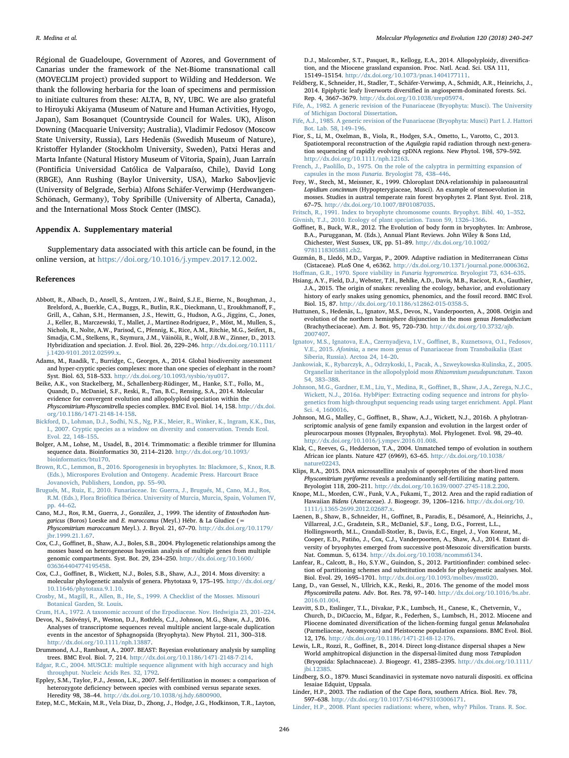Régional de Guadeloupe, Government of Azores, and Government of Canarias under the framework of the Net-Biome transnational call (MOVECLIM project) provided support to Wilding and Hedderson. We thank the following herbaria for the loan of specimens and permission to initiate cultures from these: ALTA, B, NY, UBC. We are also grateful to Hiroyuki Akiyama (Museum of Nature and Human Activities, Hyogo, Japan), Sam Bosanquet (Countryside Council for Wales. UK), Alison Downing (Macquarie University; Australia), Vladimir Fedosov (Moscow State University, Russia), Lars Hedenäs (Swedish Museum of Nature), Kristoffer Hylander (Stockholm University, Sweden), Patxi Heras and Marta Infante (Natural History Museum of Vitoria, Spain), Juan Larraín (Pontificia Universidad Católica de Valparaíso, Chile), David Long (RBGE), Ann Rushing (Baylor University, USA), Marko Sabovljevic (University of Belgrade, Serbia) Alfons Schäfer-Verwimp (Herdwangen-Schönach, Germany), Toby Spribille (University of Alberta, Canada), and the International Moss Stock Center (IMSC).

#### Appendix A. Supplementary material

Supplementary data associated with this article can be found, in the online version, at <https://doi.org/10.1016/j.ympev.2017.12.002>.

#### References

- <span id="page-6-9"></span>Abbott, R., Albach, D., Ansell, S., Arntzen, J.W., Baird, S.J.E., Bierne, N., Boughman, J., Brelsford, A., Buerkle, C.A., Buggs, R., Butlin, R.K., Dieckmann, U., Eroukhmanoff, F., Grill, A., Cahan, S.H., Hermansen, J.S., Hewitt, G., Hudson, A.G., Jiggins, C., Jones, J., Keller, B., Marczewski, T., Mallet, J., Martinez-Rodriguez, P., Möst, M., Mullen, S., Nichols, R., Nolte, A.W., Parisod, C., Pfennig, K., Rice, A.M., Ritchie, M.G., Seifert, B., Smadja, C.M., Stelkens, R., Szymura, J.M., Väinölä, R., Wolf, J.B.W., Zinner, D., 2013. Hybridization and speciation. J. Evol. Biol. 26, 229–246. [http://dx.doi.org/10.1111/](http://dx.doi.org/10.1111/j.1420-9101.2012.02599.x) [j.1420-9101.2012.02599.x.](http://dx.doi.org/10.1111/j.1420-9101.2012.02599.x)
- Adams, M., Raadik, T., Burridge, C., Georges, A., 2014. Global biodiversity assessment and hyper-cryptic species complexes: more than one species of elephant in the room? Syst. Biol. 63, 518–533. <http://dx.doi.org/10.1093/sysbio/syu017>.
- <span id="page-6-25"></span>Beike, A.K., von Stackelberg, M., Schallenberg-Rüdinger, M., Hanke, S.T., Follo, M., Quandt, D., McDaniel, S.F., Reski, R., Tan, B.C., Rensing, S.A., 2014. Molecular evidence for convergent evolution and allopolyploid speciation within the Physcomitrium-Physcomitrella species complex. BMC Evol. Biol. 14, 158. [http://dx.doi.](http://dx.doi.org/10.1186/1471-2148-14-158) [org/10.1186/1471-2148-14-158](http://dx.doi.org/10.1186/1471-2148-14-158).
- <span id="page-6-36"></span>[Bickford, D., Lohman, D.J., Sodhi, N.S., Ng, P.K., Meier, R., Winker, K., Ingram, K.K., Das,](http://refhub.elsevier.com/S1055-7903(17)30656-5/h0020) [I., 2007. Cryptic species as a window on diversity and conservation. Trends Ecol.](http://refhub.elsevier.com/S1055-7903(17)30656-5/h0020) [Evol. 22, 148](http://refhub.elsevier.com/S1055-7903(17)30656-5/h0020)–155.
- <span id="page-6-16"></span>Bolger, A.M., Lohse, M., Usadel, B., 2014. Trimmomatic: a flexible trimmer for Illumina sequence data. Bioinformatics 30, 2114–2120. [http://dx.doi.org/10.1093/](http://dx.doi.org/10.1093/bioinformatics/btu170) [bioinformatics/btu170.](http://dx.doi.org/10.1093/bioinformatics/btu170)
- <span id="page-6-15"></span>[Brown, R.C., Lemmon, B., 2016. Sporogenesis in bryophytes. In: Blackmore, S., Knox, R.B.](http://refhub.elsevier.com/S1055-7903(17)30656-5/h0030) [\(Eds.\), Microspores Evolution and Ontogeny. Academic Press. Harcourt Brace](http://refhub.elsevier.com/S1055-7903(17)30656-5/h0030) [Jovanovich, Publishers, London, pp. 55](http://refhub.elsevier.com/S1055-7903(17)30656-5/h0030)–90.
- <span id="page-6-26"></span>[Brugués, M., Ruiz, E., 2010. Funariaceae. In: Guerra, J., Brugués, M., Cano, M.J., Ros,](http://refhub.elsevier.com/S1055-7903(17)30656-5/h0035) [R.M. \(Eds.\), Flora Briofítica Ibérica. University of Murcia, Murcia, Spain, Volumen IV,](http://refhub.elsevier.com/S1055-7903(17)30656-5/h0035) [pp. 44](http://refhub.elsevier.com/S1055-7903(17)30656-5/h0035)–62.
- Cano, M.J., Ros, R.M., Guerra, J., González, J., 1999. The identity of Entosthodon hungaricus (Boros) Loeske and E. maroccanus (Meyl.) Hébr. & La Giudice (= Physcomitrium maroccanum Meyl.). J. Bryol. 21, 67–70. [http://dx.doi.org/10.1179/](http://dx.doi.org/10.1179/jbr.1999.21.1.67) [jbr.1999.21.1.67.](http://dx.doi.org/10.1179/jbr.1999.21.1.67)
- Cox, C.J., Goffinet, B., Shaw, A.J., Boles, S.B., 2004. Phylogenetic relationships among the mosses based on heterogeneous bayesian analysis of multiple genes from multiple genomic compartments. Syst. Bot. 29, 234–250. [http://dx.doi.org/10.1600/](http://dx.doi.org/10.1600/036364404774195458) [036364404774195458](http://dx.doi.org/10.1600/036364404774195458).
- <span id="page-6-2"></span>Cox, C.J., Goffinet, B., Wickett, N.J., Boles, S.B., Shaw, A.J., 2014. Moss diversity: a molecular phylogenetic analysis of genera. Phytotaxa 9, 175–195. [http://dx.doi.org/](http://dx.doi.org/10.11646/phytotaxa.9.1.10) [10.11646/phytotaxa.9.1.10](http://dx.doi.org/10.11646/phytotaxa.9.1.10).
- <span id="page-6-1"></span>[Crosby, M., Magill, R., Allen, B., He, S., 1999. A Checklist of the Mosses. Missouri](http://refhub.elsevier.com/S1055-7903(17)30656-5/h0055) [Botanical Garden, St. Louis.](http://refhub.elsevier.com/S1055-7903(17)30656-5/h0055)
- <span id="page-6-10"></span><span id="page-6-3"></span>[Crum, H.A., 1972. A taxonomic account of the Erpodiaceae. Nov. Hedwigia 23, 201](http://refhub.elsevier.com/S1055-7903(17)30656-5/h0060)–224. Devos, N., Szövényi, P., Weston, D.J., Rothfels, C.J., Johnson, M.G., Shaw, A.J., 2016.
- Analyses of transcriptome sequences reveal multiple ancient large-scale duplication events in the ancestor of Sphagnopsida (Bryophyta). New Phytol. 211, 300–318. <http://dx.doi.org/10.1111/nph.13887>.
- <span id="page-6-20"></span>Drummond, A.J., Rambaut, A., 2007. BEAST: Bayesian evolutionary analysis by sampling trees. BMC Evol. Biol. 7, 214. <http://dx.doi.org/10.1186/1471-2148-7-214>.
- <span id="page-6-18"></span>[Edgar, R.C., 2004. MUSCLE: multiple sequence alignment with high accuracy and high](http://refhub.elsevier.com/S1055-7903(17)30656-5/h0075) [throughput. Nucleic Acids Res. 32, 1792](http://refhub.elsevier.com/S1055-7903(17)30656-5/h0075).
- <span id="page-6-33"></span>Eppley, S.M., Taylor, P.J., Jesson, L.K., 2007. Self-fertilization in mosses: a comparison of heterozygote deficiency between species with combined versus separate sexes. Heredity 98, 38–44. <http://dx.doi.org/10.1038/sj.hdy.6800900>.

<span id="page-6-30"></span>Estep, M.C., McKain, M.R., Vela Diaz, D., Zhong, J., Hodge, J.G., Hodkinson, T.R., Layton,

D.J., Malcomber, S.T., Pasquet, R., Kellogg, E.A., 2014. Allopolyploidy, diversification, and the Miocene grassland expansion. Proc. Natl. Acad. Sci. USA 111, 15149–15154. <http://dx.doi.org/10.1073/pnas.1404177111>.

- <span id="page-6-35"></span>Feldberg, K., Schneider, H., Stadler, T., Schäfer-Verwimp, A., Schmidt, A.R., Heinrichs, J., 2014. Epiphytic leafy liverworts diversified in angiosperm-dominated forests. Sci. Rep. 4, 3667–3679. <http://dx.doi.org/10.1038/srep05974>.
- <span id="page-6-12"></span>[Fife, A., 1982. A generic revision of the Funariaceae \(Bryophyta: Musci\). The University](http://refhub.elsevier.com/S1055-7903(17)30656-5/h0095) [of Michigan Doctoral Dissertation.](http://refhub.elsevier.com/S1055-7903(17)30656-5/h0095)
- [Fife, A.J., 1985. A generic revision of the Funariaceae \(Bryophyta: Musci\) Part I. J. Hattori](http://refhub.elsevier.com/S1055-7903(17)30656-5/h0100) [Bot. Lab. 58, 149](http://refhub.elsevier.com/S1055-7903(17)30656-5/h0100)–196.
- <span id="page-6-29"></span>Fior, S., Li, M., Oxelman, B., Viola, R., Hodges, S.A., Ometto, L., Varotto, C., 2013. Spatiotemporal reconstruction of the Aquilegia rapid radiation through next-generation sequencing of rapidly evolving cpDNA regions. New Phytol. 198, 579–592. <http://dx.doi.org/10.1111/nph.12163>.

[French, J., Paolillo, D., 1975. On the role of the calyptra in permitting expansion of](http://refhub.elsevier.com/S1055-7903(17)30656-5/h0110) [capsules in the moss](http://refhub.elsevier.com/S1055-7903(17)30656-5/h0110) Funaria. Bryologist 78, 438–446.

<span id="page-6-4"></span>Frey, W., Stech, M., Meissner, K., 1999. Chloroplast DNA-relationship in palaeoaustral Lopidium concinnum (Hypopterygiaceae, Musci). An example of stenoevolution in mosses. Studies in austral temperate rain forest bryophytes 2. Plant Syst. Evol. 218, 67–75. [http://dx.doi.org/10.1007/BF01087035.](http://dx.doi.org/10.1007/BF01087035)

<span id="page-6-32"></span><span id="page-6-6"></span>[Fritsch, R., 1991. Index to bryophyte chromosome counts. Bryophyt. Bibl. 40, 1](http://refhub.elsevier.com/S1055-7903(17)30656-5/h0120)–352. [Givnish, T.J., 2010. Ecology of plant speciation. Taxon 59, 1326](http://refhub.elsevier.com/S1055-7903(17)30656-5/h0125)–1366.

- <span id="page-6-0"></span>Goffinet, B., Buck, W.R., 2012. The Evolution of body form in bryophytes. In: Ambrose, B.A., Purugganan, M. (Eds.), Annual Plant Reviews. John Wiley & Sons Ltd, Chichester, West Sussex, UK, pp. 51–89. [http://dx.doi.org/10.1002/](http://dx.doi.org/10.1002/9781118305881.ch2) [9781118305881.ch2](http://dx.doi.org/10.1002/9781118305881.ch2).
- <span id="page-6-8"></span>Guzmán, B., Lledó, M.D., Vargas, P., 2009. Adaptive radiation in Mediterranean Cistus (Cistaceae). PLoS One 4, e6362. [http://dx.doi.org/10.1371/journal.pone.0006362.](http://dx.doi.org/10.1371/journal.pone.0006362) Hoff[man, G.R., 1970. Spore viability in](http://refhub.elsevier.com/S1055-7903(17)30656-5/h0140) Funaria hygrometrica. Bryologist 73, 634–635.
- <span id="page-6-34"></span><span id="page-6-22"></span>Hsiang, A.Y., Field, D.J., Webster, T.H., Behlke, A.D., Davis, M.B., Racicot, R.A., Gauthier, J.A., 2015. The origin of snakes: revealing the ecology, behavior, and evolutionary history of early snakes using genomics, phenomics, and the fossil record. BMC Evol. Biol. 15, 87. [http://dx.doi.org/10.1186/s12862-015-0358-5.](http://dx.doi.org/10.1186/s12862-015-0358-5)
- <span id="page-6-21"></span>Huttunen, S., Hedenäs, L., Ignatov, M.S., Devos, N., Vanderpoorten, A., 2008. Origin and evolution of the northern hemisphere disjunction in the moss genus Homalothecium (Brachytheciaceae). Am. J. Bot. 95, 720–730. [http://dx.doi.org/10.3732/ajb.](http://dx.doi.org/10.3732/ajb.2007407) [2007407.](http://dx.doi.org/10.3732/ajb.2007407)
- <span id="page-6-24"></span>[Ignatov, M.S., Ignatova, E.A., Czernyadjeva, I.V., Go](http://refhub.elsevier.com/S1055-7903(17)30656-5/h0155)ffinet, B., Kuznetsova, O.I., Fedosov, V.E., 2015. Afoninia[, a new moss genus of Funariaceae from Transbaikalia \(East](http://refhub.elsevier.com/S1055-7903(17)30656-5/h0155) [Siberia, Russia\). Arctoa 24, 14](http://refhub.elsevier.com/S1055-7903(17)30656-5/h0155)–20.
- <span id="page-6-14"></span>[Jankowiak, K., Rybarczyk, A., Odrzykoski, I., Pacak, A., Szweykowska-Kulinska, Z., 2005.](http://refhub.elsevier.com/S1055-7903(17)30656-5/h0160) [Organellar inheritance in the allopolyploid moss](http://refhub.elsevier.com/S1055-7903(17)30656-5/h0160) Rhizomnium pseudopunctatum. Taxon [54, 383](http://refhub.elsevier.com/S1055-7903(17)30656-5/h0160)–388.
- <span id="page-6-17"></span>[Johnson, M.G., Gardner, E.M., Liu, Y., Medina, R., Go](http://refhub.elsevier.com/S1055-7903(17)30656-5/h0170)ffinet, B., Shaw, J.A., Zerega, N.J.C., [Wickett, N.J., 2016a. HybPiper: Extracting coding sequence and introns for phylo](http://refhub.elsevier.com/S1055-7903(17)30656-5/h0170)[genetics from high-throughput sequencing reads using target enrichment. Appl. Plant](http://refhub.elsevier.com/S1055-7903(17)30656-5/h0170) [Sci. 4, 1600016](http://refhub.elsevier.com/S1055-7903(17)30656-5/h0170).
- Johnson, M.G., Malley, C., Goffinet, B., Shaw, A.J., Wickett, N.J., 2016b. A phylotranscriptomic analysis of gene family expansion and evolution in the largest order of pleurocarpous mosses (Hypnales, Bryophyta). Mol. Phylogenet. Evol. 98, 29–40. [http://dx.doi.org/10.1016/j.ympev.2016.01.008.](http://dx.doi.org/10.1016/j.ympev.2016.01.008)
- <span id="page-6-27"></span>Klak, C., Reeves, G., Hedderson, T.A., 2004. Unmatched tempo of evolution in southern African ice plants. Nature 427 (6969), 63–65. [http://dx.doi.org/10.1038/](http://dx.doi.org/10.1038/nature02243) [nature02243.](http://dx.doi.org/10.1038/nature02243)
- Klips, R.A., 2015. DNA microsatellite analysis of sporophytes of the short-lived moss Physcomitrium pyriforme reveals a predominantly self-fertilizing mating pattern. Bryologist 118, 200–211. [http://dx.doi.org/10.1639/0007-2745-118.2.200.](http://dx.doi.org/10.1639/0007-2745-118.2.200)
- <span id="page-6-28"></span>Knope, M.L., Morden, C.W., Funk, V.A., Fukami, T., 2012. Area and the rapid radiation of Hawaiian Bidens (Asteraceae). J. Biogeogr. 39, 1206–1216. [http://dx.doi.org/10.](http://dx.doi.org/10.1111/j.1365-2699.2012.02687.x) [1111/j.1365-2699.2012.02687.x](http://dx.doi.org/10.1111/j.1365-2699.2012.02687.x).
- <span id="page-6-5"></span>Laenen, B., Shaw, B., Schneider, H., Goffinet, B., Paradis, E., Désamoré, A., Heinrichs, J., Villarreal, J.C., Gradstein, S.R., McDaniel, S.F., Long, D.G., Forrest, L.L., Hollingsworth, M.L., Crandall-Stotler, B., Davis, E.C., Engel, J., Von Konrat, M., Cooper, E.D., Patiño, J., Cox, C.J., Vanderpoorten, A., Shaw, A.J., 2014. Extant diversity of bryophytes emerged from successive post-Mesozoic diversification bursts. Nat. Commun. 5, 6134. <http://dx.doi.org/10.1038/ncomms6134>.
- <span id="page-6-19"></span>Lanfear, R., Calcott, B., Ho, S.Y.W., Guindon, S., 2012. Partitionfinder: combined selection of partitioning schemes and substitution models for phylogenetic analyses. Mol. Biol. Evol. 29, 1695–1701. [http://dx.doi.org/10.1093/molbev/mss020.](http://dx.doi.org/10.1093/molbev/mss020)
- <span id="page-6-13"></span>Lang, D., van Gessel, N., Ullrich, K.K., Reski, R., 2016. The genome of the model moss Physcomitrella patens. Adv. Bot. Res. 78, 97–140. [http://dx.doi.org/10.1016/bs.abr.](http://dx.doi.org/10.1016/bs.abr.2016.01.004) [2016.01.004](http://dx.doi.org/10.1016/bs.abr.2016.01.004).
- <span id="page-6-31"></span>Leavitt, S.D., Esslinger, T.L., Divakar, P.K., Lumbsch, H., Canese, K., Chetvernin, V., Church, D., DiCuccio, M., Edgar, R., Federhen, S., Lumbsch, H., 2012. Miocene and Pliocene dominated diversification of the lichen-forming fungal genus Melanohalea (Parmeliaceae, Ascomycota) and Pleistocene population expansions. BMC Evol. Biol. 12, 176. [http://dx.doi.org/10.1186/1471-2148-12-176.](http://dx.doi.org/10.1186/1471-2148-12-176)
- <span id="page-6-11"></span>Lewis, L.R., Rozzi, R., Goffinet, B., 2014. Direct long-distance dispersal shapes a New World amphitropical disjunction in the dispersal-limited dung moss Tetraplodon (Bryopsida: Splachnaceae). J. Biogeogr. 41, 2385–2395. [http://dx.doi.org/10.1111/](http://dx.doi.org/10.1111/jbi.12385) [jbi.12385.](http://dx.doi.org/10.1111/jbi.12385)
- <span id="page-6-23"></span>Lindberg, S.O., 1879. Musci Scandinavici in systemate novo naturali dispositi. ex officina Iesaiae Edquist, Uppsala.

Linder, H.P., 2003. The radiation of the Cape flora, southern Africa. Biol. Rev. 78, 597–638. [http://dx.doi.org/10.1017/S1464793103006171.](http://dx.doi.org/10.1017/S1464793103006171)

<span id="page-6-7"></span>[Linder, H.P., 2008. Plant species radiations: where, when, why? Philos. Trans. R. Soc.](http://refhub.elsevier.com/S1055-7903(17)30656-5/h0225)